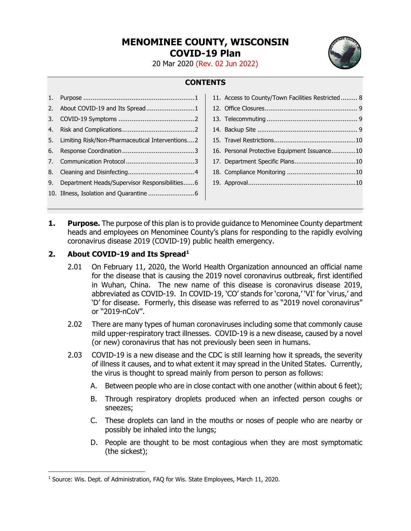# **MENOMINEE COUNTY, WISCONSIN COVID-19 Plan**

20 Mar 2020 (Rev. 02 Jun 2022)

# **CONTENTS**

|                                                    | 11. Access to County/Town Facilities Restricted 8 |  |
|----------------------------------------------------|---------------------------------------------------|--|
| 2. About COVID-19 and Its Spread1                  |                                                   |  |
|                                                    |                                                   |  |
|                                                    |                                                   |  |
| 5. Limiting Risk/Non-Pharmaceutical Interventions2 |                                                   |  |
|                                                    | 16. Personal Protective Equipment Issuance10      |  |
|                                                    |                                                   |  |
|                                                    |                                                   |  |
| 9. Department Heads/Supervisor Responsibilities6   |                                                   |  |
|                                                    |                                                   |  |
|                                                    |                                                   |  |

<span id="page-0-0"></span>**1. Purpose.** The purpose of this plan is to provide guidance to Menominee County department heads and employees on Menominee County's plans for responding to the rapidly evolving coronavirus disease 2019 (COVID-19) public health emergency.

### <span id="page-0-1"></span>**2. About COVID-19 and Its Spread[1](#page-0-2)**

- 2.01 On February 11, 2020, the World Health Organization announced an official name for the disease that is causing the 2019 novel coronavirus outbreak, first identified in Wuhan, China. The new name of this disease is coronavirus disease 2019, abbreviated as COVID-19. In COVID-19, 'CO' stands for 'corona,' 'VI' for 'virus,' and 'D' for disease. Formerly, this disease was referred to as "2019 novel coronavirus" or "2019-nCoV".
- 2.02 There are many types of human coronaviruses including some that commonly cause mild upper-respiratory tract illnesses. COVID-19 is a new disease, caused by a novel (or new) coronavirus that has not previously been seen in humans.
- 2.03 COVID-19 is a new disease and the CDC is still learning how it spreads, the severity of illness it causes, and to what extent it may spread in the United States. Currently, the virus is thought to spread mainly from person to person as follows:
	- A. Between people who are in close contact with one another (within about 6 feet);
	- B. Through respiratory droplets produced when an infected person coughs or sneezes;
	- C. These droplets can land in the mouths or noses of people who are nearby or possibly be inhaled into the lungs;
	- D. People are thought to be most contagious when they are most symptomatic (the sickest);

<span id="page-0-2"></span><sup>&</sup>lt;sup>1</sup> Source: Wis. Dept. of Administration, FAQ for Wis. State Employees, March 11, 2020.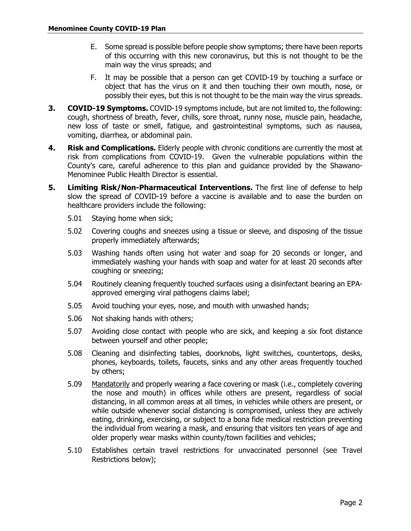- E. Some spread is possible before people show symptoms; there have been reports of this occurring with this new coronavirus, but this is not thought to be the main way the virus spreads; and
- F. It may be possible that a person can get COVID-19 by touching a surface or object that has the virus on it and then touching their own mouth, nose, or possibly their eyes, but this is not thought to be the main way the virus spreads.
- <span id="page-1-0"></span>**3. COVID-19 Symptoms.** COVID-19 symptoms include, but are not limited to, the following: cough, shortness of breath, fever, chills, sore throat, runny nose, muscle pain, headache, new loss of taste or smell, fatigue, and gastrointestinal symptoms, such as nausea, vomiting, diarrhea, or abdominal pain.
- <span id="page-1-1"></span>**4. Risk and Complications.** Elderly people with chronic conditions are currently the most at risk from complications from COVID-19. Given the vulnerable populations within the County's care, careful adherence to this plan and guidance provided by the Shawano-Menominee Public Health Director is essential.
- <span id="page-1-2"></span>**5. Limiting Risk/Non-Pharmaceutical Interventions.** The first line of defense to help slow the spread of COVID-19 before a vaccine is available and to ease the burden on healthcare providers include the following:
	- 5.01 Staying home when sick;
	- 5.02 Covering coughs and sneezes using a tissue or sleeve, and disposing of the tissue properly immediately afterwards;
	- 5.03 Washing hands often using hot water and soap for 20 seconds or longer, and immediately washing your hands with soap and water for at least 20 seconds after coughing or sneezing;
	- 5.04 Routinely cleaning frequently touched surfaces using a disinfectant bearing an EPAapproved emerging viral pathogens claims label;
	- 5.05 Avoid touching your eyes, nose, and mouth with unwashed hands;
	- 5.06 Not shaking hands with others;
	- 5.07 Avoiding close contact with people who are sick, and keeping a six foot distance between yourself and other people;
	- 5.08 Cleaning and disinfecting tables, doorknobs, light switches, countertops, desks, phones, keyboards, toilets, faucets, sinks and any other areas frequently touched by others;
	- 5.09 Mandatorily and properly wearing a face covering or mask (i.e., completely covering the nose and mouth) in offices while others are present, regardless of social distancing, in all common areas at all times, in vehicles while others are present, or while outside whenever social distancing is compromised, unless they are actively eating, drinking, exercising, or subject to a bona fide medical restriction preventing the individual from wearing a mask, and ensuring that visitors ten years of age and older properly wear masks within county/town facilities and vehicles;
	- 5.10 Establishes certain travel restrictions for unvaccinated personnel (see Travel Restrictions below);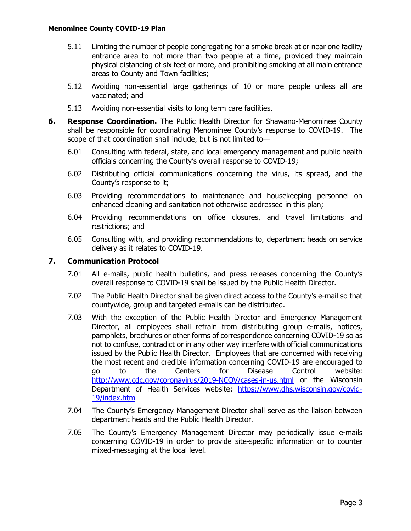- 5.11 Limiting the number of people congregating for a smoke break at or near one facility entrance area to not more than two people at a time, provided they maintain physical distancing of six feet or more, and prohibiting smoking at all main entrance areas to County and Town facilities;
- 5.12 Avoiding non-essential large gatherings of 10 or more people unless all are vaccinated; and
- 5.13 Avoiding non-essential visits to long term care facilities.
- <span id="page-2-0"></span>**6. Response Coordination.** The Public Health Director for Shawano-Menominee County shall be responsible for coordinating Menominee County's response to COVID-19. The scope of that coordination shall include, but is not limited to—
	- 6.01 Consulting with federal, state, and local emergency management and public health officials concerning the County's overall response to COVID-19;
	- 6.02 Distributing official communications concerning the virus, its spread, and the County's response to it;
	- 6.03 Providing recommendations to maintenance and housekeeping personnel on enhanced cleaning and sanitation not otherwise addressed in this plan;
	- 6.04 Providing recommendations on office closures, and travel limitations and restrictions; and
	- 6.05 Consulting with, and providing recommendations to, department heads on service delivery as it relates to COVID-19.

### <span id="page-2-1"></span>**7. Communication Protocol**

- 7.01 All e-mails, public health bulletins, and press releases concerning the County's overall response to COVID-19 shall be issued by the Public Health Director.
- 7.02 The Public Health Director shall be given direct access to the County's e-mail so that countywide, group and targeted e-mails can be distributed.
- 7.03 With the exception of the Public Health Director and Emergency Management Director, all employees shall refrain from distributing group e-mails, notices, pamphlets, brochures or other forms of correspondence concerning COVID-19 so as not to confuse, contradict or in any other way interfere with official communications issued by the Public Health Director. Employees that are concerned with receiving the most recent and credible information concerning COVID-19 are encouraged to go to the Centers for Disease Control website: <http://www.cdc.gov/coronavirus/2019-NCOV/cases-in-us.html> or the Wisconsin Department of Health Services website: [https://www.dhs.wisconsin.gov/covid-](https://www.dhs.wisconsin.gov/covid-19/index.htm)[19/index.htm](https://www.dhs.wisconsin.gov/covid-19/index.htm)
- 7.04 The County's Emergency Management Director shall serve as the liaison between department heads and the Public Health Director.
- 7.05 The County's Emergency Management Director may periodically issue e-mails concerning COVID-19 in order to provide site-specific information or to counter mixed-messaging at the local level.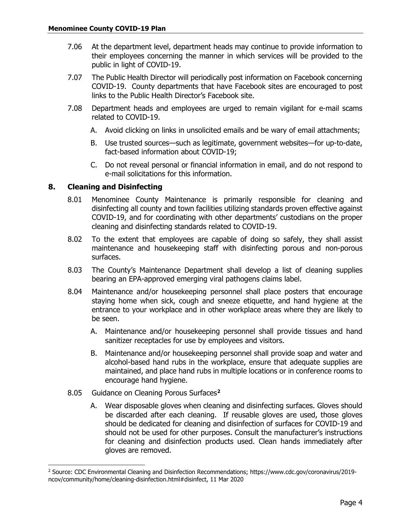- 7.06 At the department level, department heads may continue to provide information to their employees concerning the manner in which services will be provided to the public in light of COVID-19.
- 7.07 The Public Health Director will periodically post information on Facebook concerning COVID-19. County departments that have Facebook sites are encouraged to post links to the Public Health Director's Facebook site.
- 7.08 Department heads and employees are urged to remain vigilant for e-mail scams related to COVID-19.
	- A. Avoid clicking on links in unsolicited emails and be wary of email attachments;
	- B. Use trusted sources—such as legitimate, government websites—for up-to-date, fact-based information about COVID-19;
	- C. Do not reveal personal or financial information in email, and do not respond to e-mail solicitations for this information.

### <span id="page-3-0"></span>**8. Cleaning and Disinfecting**

- 8.01 Menominee County Maintenance is primarily responsible for cleaning and disinfecting all county and town facilities utilizing standards proven effective against COVID-19, and for coordinating with other departments' custodians on the proper cleaning and disinfecting standards related to COVID-19.
- 8.02 To the extent that employees are capable of doing so safely, they shall assist maintenance and housekeeping staff with disinfecting porous and non-porous surfaces.
- 8.03 The County's Maintenance Department shall develop a list of cleaning supplies bearing an EPA-approved emerging viral pathogens claims label.
- 8.04 Maintenance and/or housekeeping personnel shall place posters that encourage staying home when sick, cough and sneeze etiquette, and hand hygiene at the entrance to your workplace and in other workplace areas where they are likely to be seen.
	- A. Maintenance and/or housekeeping personnel shall provide tissues and hand sanitizer receptacles for use by employees and visitors.
	- B. Maintenance and/or housekeeping personnel shall provide soap and water and alcohol-based hand rubs in the workplace, ensure that adequate supplies are maintained, and place hand rubs in multiple locations or in conference rooms to encourage hand hygiene.
- 8.05 Guidance on Cleaning Porous Surfaces**[2](#page-3-1)**
	- A. Wear disposable gloves when cleaning and disinfecting surfaces. Gloves should be discarded after each cleaning. If reusable gloves are used, those gloves should be dedicated for cleaning and disinfection of surfaces for COVID-19 and should not be used for other purposes. Consult the manufacturer's instructions for cleaning and disinfection products used. Clean hands immediately after gloves are removed.

<span id="page-3-1"></span><sup>&</sup>lt;sup>2</sup> Source: CDC Environmental Cleaning and Disinfection Recommendations; https://www.cdc.gov/coronavirus/2019ncov/community/home/cleaning-disinfection.html#disinfect, 11 Mar 2020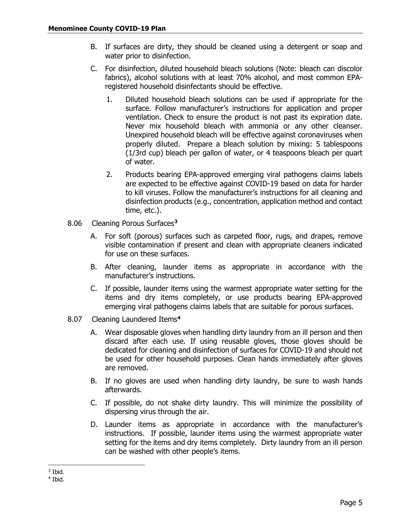- B. If surfaces are dirty, they should be cleaned using a detergent or soap and water prior to disinfection.
- C. For disinfection, diluted household bleach solutions (Note: bleach can discolor fabrics), alcohol solutions with at least 70% alcohol, and most common EPAregistered household disinfectants should be effective.
	- 1. Diluted household bleach solutions can be used if appropriate for the surface. Follow manufacturer's instructions for application and proper ventilation. Check to ensure the product is not past its expiration date. Never mix household bleach with ammonia or any other cleanser. Unexpired household bleach will be effective against coronaviruses when properly diluted. Prepare a bleach solution by mixing: 5 tablespoons (1/3rd cup) bleach per gallon of water, or 4 teaspoons bleach per quart of water.
	- 2. Products bearing EPA-approved emerging viral pathogens claims labels are expected to be effective against COVID-19 based on data for harder to kill viruses. Follow the manufacturer's instructions for all cleaning and disinfection products (e.g., concentration, application method and contact time, etc.).
- 8.06 Cleaning Porous Surfaces**[3](#page-4-0)**
	- A. For soft (porous) surfaces such as carpeted floor, rugs, and drapes, remove visible contamination if present and clean with appropriate cleaners indicated for use on these surfaces.
	- B. After cleaning, launder items as appropriate in accordance with the manufacturer's instructions.
	- C. If possible, launder items using the warmest appropriate water setting for the items and dry items completely, or use products bearing EPA-approved emerging viral pathogens claims labels that are suitable for porous surfaces.
- 8.07 Cleaning Laundered Items**[4](#page-4-1)**
	- A. Wear disposable gloves when handling dirty laundry from an ill person and then discard after each use. If using reusable gloves, those gloves should be dedicated for cleaning and disinfection of surfaces for COVID-19 and should not be used for other household purposes. Clean hands immediately after gloves are removed.
	- B. If no gloves are used when handling dirty laundry, be sure to wash hands afterwards.
	- C. If possible, do not shake dirty laundry. This will minimize the possibility of dispersing virus through the air.
	- D. Launder items as appropriate in accordance with the manufacturer's instructions. If possible, launder items using the warmest appropriate water setting for the items and dry items completely. Dirty laundry from an ill person can be washed with other people's items.

<span id="page-4-0"></span> $3$  Ibid.

<span id="page-4-1"></span><sup>4</sup> Ibid.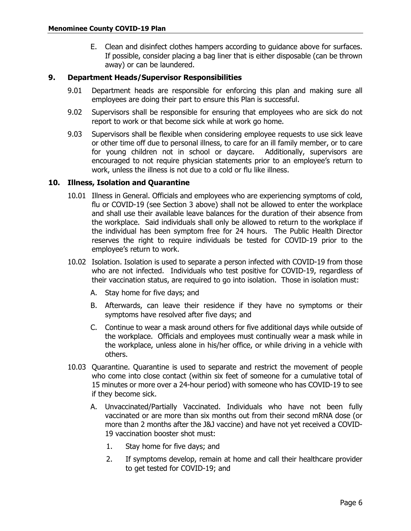E. Clean and disinfect clothes hampers according to guidance above for surfaces. If possible, consider placing a bag liner that is either disposable (can be thrown away) or can be laundered.

### <span id="page-5-0"></span>**9. Department Heads/Supervisor Responsibilities**

- 9.01 Department heads are responsible for enforcing this plan and making sure all employees are doing their part to ensure this Plan is successful.
- 9.02 Supervisors shall be responsible for ensuring that employees who are sick do not report to work or that become sick while at work go home.
- 9.03 Supervisors shall be flexible when considering employee requests to use sick leave or other time off due to personal illness, to care for an ill family member, or to care for young children not in school or daycare. Additionally, supervisors are encouraged to not require physician statements prior to an employee's return to work, unless the illness is not due to a cold or flu like illness.

### <span id="page-5-1"></span>**10. Illness, Isolation and Quarantine**

- 10.01 Illness in General. Officials and employees who are experiencing symptoms of cold, flu or COVID-19 (see Section 3 above) shall not be allowed to enter the workplace and shall use their available leave balances for the duration of their absence from the workplace. Said individuals shall only be allowed to return to the workplace if the individual has been symptom free for 24 hours. The Public Health Director reserves the right to require individuals be tested for COVID-19 prior to the employee's return to work.
- 10.02 Isolation. Isolation is used to separate a person infected with COVID-19 from those who are not infected. Individuals who test positive for COVID-19, regardless of their vaccination status, are required to go into isolation. Those in isolation must:
	- A. Stay home for five days; and
	- B. Afterwards, can leave their residence if they have no symptoms or their symptoms have resolved after five days; and
	- C. Continue to wear a mask around others for five additional days while outside of the workplace. Officials and employees must continually wear a mask while in the workplace, unless alone in his/her office, or while driving in a vehicle with others.
- 10.03 Quarantine. Quarantine is used to separate and restrict the movement of people who come into close contact (within six feet of someone for a cumulative total of 15 minutes or more over a 24-hour period) with someone who has COVID-19 to see if they become sick.
	- A. Unvaccinated/Partially Vaccinated. Individuals who have not been fully vaccinated or are more than six months out from their second mRNA dose (or more than 2 months after the J&J vaccine) and have not yet received a COVID-19 vaccination booster shot must:
		- 1. Stay home for five days; and
		- 2. If symptoms develop, remain at home and call their healthcare provider to get tested for COVID-19; and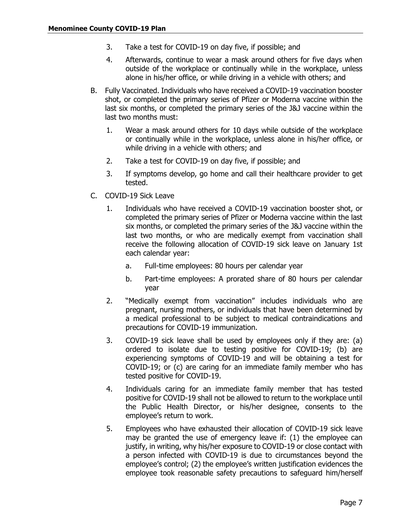- 3. Take a test for COVID-19 on day five, if possible; and
- 4. Afterwards, continue to wear a mask around others for five days when outside of the workplace or continually while in the workplace, unless alone in his/her office, or while driving in a vehicle with others; and
- B. Fully Vaccinated. Individuals who have received a COVID-19 vaccination booster shot, or completed the primary series of Pfizer or Moderna vaccine within the last six months, or completed the primary series of the J&J vaccine within the last two months must:
	- 1. Wear a mask around others for 10 days while outside of the workplace or continually while in the workplace, unless alone in his/her office, or while driving in a vehicle with others; and
	- 2. Take a test for COVID-19 on day five, if possible; and
	- 3. If symptoms develop, go home and call their healthcare provider to get tested.
- C. COVID-19 Sick Leave
	- 1. Individuals who have received a COVID-19 vaccination booster shot, or completed the primary series of Pfizer or Moderna vaccine within the last six months, or completed the primary series of the J&J vaccine within the last two months, or who are medically exempt from vaccination shall receive the following allocation of COVID-19 sick leave on January 1st each calendar year:
		- a. Full-time employees: 80 hours per calendar year
		- b. Part-time employees: A prorated share of 80 hours per calendar year
	- 2. "Medically exempt from vaccination" includes individuals who are pregnant, nursing mothers, or individuals that have been determined by a medical professional to be subject to medical contraindications and precautions for COVID-19 immunization.
	- 3. COVID-19 sick leave shall be used by employees only if they are: (a) ordered to isolate due to testing positive for COVID-19; (b) are experiencing symptoms of COVID-19 and will be obtaining a test for COVID-19; or (c) are caring for an immediate family member who has tested positive for COVID-19.
	- 4. Individuals caring for an immediate family member that has tested positive for COVID-19 shall not be allowed to return to the workplace until the Public Health Director, or his/her designee, consents to the employee's return to work.
	- 5. Employees who have exhausted their allocation of COVID-19 sick leave may be granted the use of emergency leave if: (1) the employee can justify, in writing, why his/her exposure to COVID-19 or close contact with a person infected with COVID-19 is due to circumstances beyond the employee's control; (2) the employee's written justification evidences the employee took reasonable safety precautions to safeguard him/herself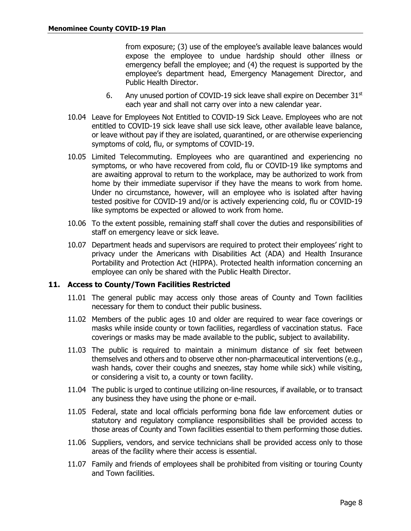from exposure; (3) use of the employee's available leave balances would expose the employee to undue hardship should other illness or emergency befall the employee; and (4) the request is supported by the employee's department head, Emergency Management Director, and Public Health Director.

- 6. Any unused portion of COVID-19 sick leave shall expire on December  $31<sup>st</sup>$ each year and shall not carry over into a new calendar year.
- 10.04 Leave for Employees Not Entitled to COVID-19 Sick Leave. Employees who are not entitled to COVID-19 sick leave shall use sick leave, other available leave balance, or leave without pay if they are isolated, quarantined, or are otherwise experiencing symptoms of cold, flu, or symptoms of COVID-19.
- 10.05 Limited Telecommuting. Employees who are quarantined and experiencing no symptoms, or who have recovered from cold, flu or COVID-19 like symptoms and are awaiting approval to return to the workplace, may be authorized to work from home by their immediate supervisor if they have the means to work from home. Under no circumstance, however, will an employee who is isolated after having tested positive for COVID-19 and/or is actively experiencing cold, flu or COVID-19 like symptoms be expected or allowed to work from home.
- 10.06 To the extent possible, remaining staff shall cover the duties and responsibilities of staff on emergency leave or sick leave.
- 10.07 Department heads and supervisors are required to protect their employees' right to privacy under the Americans with Disabilities Act (ADA) and Health Insurance Portability and Protection Act (HIPPA). Protected health information concerning an employee can only be shared with the Public Health Director.

### <span id="page-7-0"></span>**11. Access to County/Town Facilities Restricted**

- 11.01 The general public may access only those areas of County and Town facilities necessary for them to conduct their public business.
- 11.02 Members of the public ages 10 and older are required to wear face coverings or masks while inside county or town facilities, regardless of vaccination status. Face coverings or masks may be made available to the public, subject to availability.
- 11.03 The public is required to maintain a minimum distance of six feet between themselves and others and to observe other non-pharmaceutical interventions (e.g., wash hands, cover their coughs and sneezes, stay home while sick) while visiting, or considering a visit to, a county or town facility.
- 11.04 The public is urged to continue utilizing on-line resources, if available, or to transact any business they have using the phone or e-mail.
- 11.05 Federal, state and local officials performing bona fide law enforcement duties or statutory and regulatory compliance responsibilities shall be provided access to those areas of County and Town facilities essential to them performing those duties.
- 11.06 Suppliers, vendors, and service technicians shall be provided access only to those areas of the facility where their access is essential.
- 11.07 Family and friends of employees shall be prohibited from visiting or touring County and Town facilities.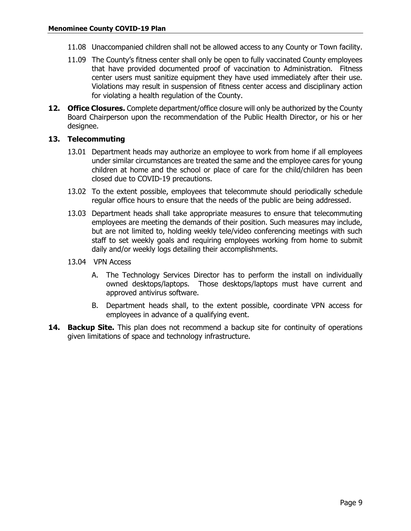- 11.08 Unaccompanied children shall not be allowed access to any County or Town facility.
- 11.09 The County's fitness center shall only be open to fully vaccinated County employees that have provided documented proof of vaccination to Administration. Fitness center users must sanitize equipment they have used immediately after their use. Violations may result in suspension of fitness center access and disciplinary action for violating a health regulation of the County.
- <span id="page-8-0"></span>**12. Office Closures.** Complete department/office closure will only be authorized by the County Board Chairperson upon the recommendation of the Public Health Director, or his or her designee.

#### <span id="page-8-1"></span>**13. Telecommuting**

- 13.01 Department heads may authorize an employee to work from home if all employees under similar circumstances are treated the same and the employee cares for young children at home and the school or place of care for the child/children has been closed due to COVID-19 precautions.
- 13.02 To the extent possible, employees that telecommute should periodically schedule regular office hours to ensure that the needs of the public are being addressed.
- 13.03 Department heads shall take appropriate measures to ensure that telecommuting employees are meeting the demands of their position. Such measures may include, but are not limited to, holding weekly tele/video conferencing meetings with such staff to set weekly goals and requiring employees working from home to submit daily and/or weekly logs detailing their accomplishments.
- 13.04 VPN Access
	- A. The Technology Services Director has to perform the install on individually owned desktops/laptops. Those desktops/laptops must have current and approved antivirus software.
	- B. Department heads shall, to the extent possible, coordinate VPN access for employees in advance of a qualifying event.
- <span id="page-8-3"></span><span id="page-8-2"></span>**14. Backup Site.** This plan does not recommend a backup site for continuity of operations given limitations of space and technology infrastructure.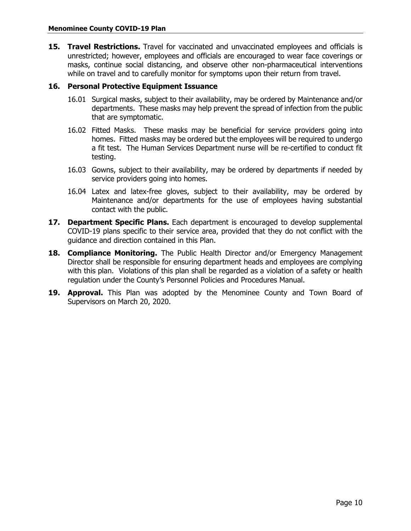**15. Travel Restrictions.** Travel for vaccinated and unvaccinated employees and officials is unrestricted; however, employees and officials are encouraged to wear face coverings or masks, continue social distancing, and observe other non-pharmaceutical interventions while on travel and to carefully monitor for symptoms upon their return from travel.

#### <span id="page-9-0"></span>**16. Personal Protective Equipment Issuance**

- 16.01 Surgical masks, subject to their availability, may be ordered by Maintenance and/or departments. These masks may help prevent the spread of infection from the public that are symptomatic.
- 16.02 Fitted Masks. These masks may be beneficial for service providers going into homes. Fitted masks may be ordered but the employees will be required to undergo a fit test. The Human Services Department nurse will be re-certified to conduct fit testing.
- 16.03 Gowns, subject to their availability, may be ordered by departments if needed by service providers going into homes.
- 16.04 Latex and latex-free gloves, subject to their availability, may be ordered by Maintenance and/or departments for the use of employees having substantial contact with the public.
- <span id="page-9-1"></span>**17. Department Specific Plans.** Each department is encouraged to develop supplemental COVID-19 plans specific to their service area, provided that they do not conflict with the guidance and direction contained in this Plan.
- <span id="page-9-2"></span>**18. Compliance Monitoring.** The Public Health Director and/or Emergency Management Director shall be responsible for ensuring department heads and employees are complying with this plan. Violations of this plan shall be regarded as a violation of a safety or health regulation under the County's Personnel Policies and Procedures Manual.
- <span id="page-9-3"></span>**19. Approval.** This Plan was adopted by the Menominee County and Town Board of Supervisors on March 20, 2020.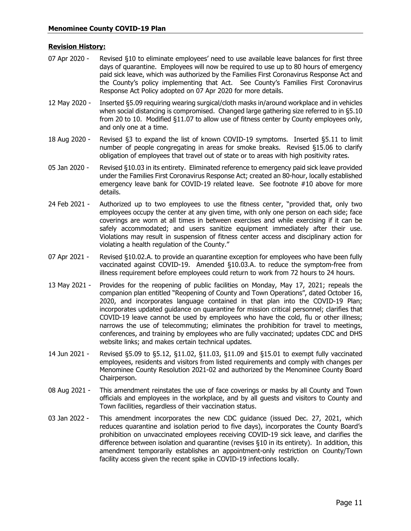#### **Revision History:**

- 07 Apr 2020 Revised §10 to eliminate employees' need to use available leave balances for first three days of quarantine. Employees will now be required to use up to 80 hours of emergency paid sick leave, which was authorized by the Families First Coronavirus Response Act and the County's policy implementing that Act. See County's Families First Coronavirus Response Act Policy adopted on 07 Apr 2020 for more details.
- 12 May 2020 Inserted §5.09 requiring wearing surgical/cloth masks in/around workplace and in vehicles when social distancing is compromised. Changed large gathering size referred to in §5.10 from 20 to 10. Modified §11.07 to allow use of fitness center by County employees only, and only one at a time.
- 18 Aug 2020 Revised §3 to expand the list of known COVID-19 symptoms. Inserted §5.11 to limit number of people congregating in areas for smoke breaks. Revised §15.06 to clarify obligation of employees that travel out of state or to areas with high positivity rates.
- 05 Jan 2020 Revised §10.03 in its entirety. Eliminated reference to emergency paid sick leave provided under the Families First Coronavirus Response Act; created an 80-hour, locally established emergency leave bank for COVID-19 related leave. See footnote #10 above for more details.
- 24 Feb 2021 Authorized up to two employees to use the fitness center, "provided that, only two employees occupy the center at any given time, with only one person on each side; face coverings are worn at all times in between exercises and while exercising if it can be safely accommodated; and users sanitize equipment immediately after their use. Violations may result in suspension of fitness center access and disciplinary action for violating a health regulation of the County."
- 07 Apr 2021 Revised §10.02.A. to provide an quarantine exception for employees who have been fully vaccinated against COVID-19. Amended §10.03.A. to reduce the symptom-free from illness requirement before employees could return to work from 72 hours to 24 hours.
- 13 May 2021 Provides for the reopening of public facilities on Monday, May 17, 2021; repeals the companion plan entitled "Reopening of County and Town Operations", dated October 16, 2020, and incorporates language contained in that plan into the COVID-19 Plan; incorporates updated guidance on quarantine for mission critical personnel; clarifies that COVID-19 leave cannot be used by employees who have the cold, flu or other illness; narrows the use of telecommuting; eliminates the prohibition for travel to meetings, conferences, and training by employees who are fully vaccinated; updates CDC and DHS website links; and makes certain technical updates.
- 14 Jun 2021 Revised §5.09 to §5.12, §11.02, §11.03, §11.09 and §15.01 to exempt fully vaccinated employees, residents and visitors from listed requirements and comply with changes per Menominee County Resolution 2021-02 and authorized by the Menominee County Board Chairperson.
- 08 Aug 2021 This amendment reinstates the use of face coverings or masks by all County and Town officials and employees in the workplace, and by all guests and visitors to County and Town facilities, regardless of their vaccination status.
- 03 Jan 2022 This amendment incorporates the new CDC guidance (issued Dec. 27, 2021, which reduces quarantine and isolation period to five days), incorporates the County Board's prohibition on unvaccinated employees receiving COVID-19 sick leave, and clarifies the difference between isolation and quarantine (revises §10 in its entirety). In addition, this amendment temporarily establishes an appointment-only restriction on County/Town facility access given the recent spike in COVID-19 infections locally.